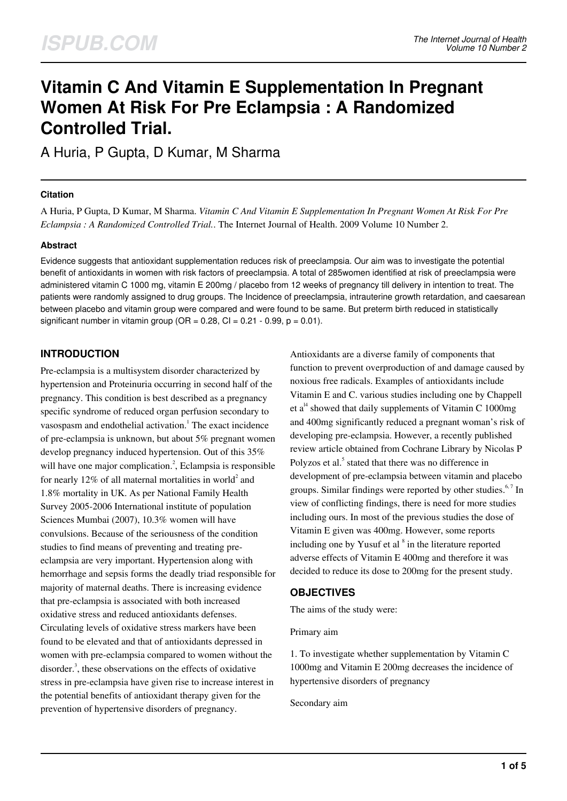# **Vitamin C And Vitamin E Supplementation In Pregnant Women At Risk For Pre Eclampsia : A Randomized Controlled Trial.**

A Huria, P Gupta, D Kumar, M Sharma

#### **Citation**

A Huria, P Gupta, D Kumar, M Sharma. *Vitamin C And Vitamin E Supplementation In Pregnant Women At Risk For Pre Eclampsia : A Randomized Controlled Trial.*. The Internet Journal of Health. 2009 Volume 10 Number 2.

#### **Abstract**

Evidence suggests that antioxidant supplementation reduces risk of preeclampsia. Our aim was to investigate the potential benefit of antioxidants in women with risk factors of preeclampsia. A total of 285women identified at risk of preeclampsia were administered vitamin C 1000 mg, vitamin E 200mg / placebo from 12 weeks of pregnancy till delivery in intention to treat. The patients were randomly assigned to drug groups. The Incidence of preeclampsia, intrauterine growth retardation, and caesarean between placebo and vitamin group were compared and were found to be same. But preterm birth reduced in statistically significant number in vitamin group ( $OR = 0.28$ ,  $CI = 0.21 - 0.99$ ,  $p = 0.01$ ).

## **INTRODUCTION**

Pre-eclampsia is a multisystem disorder characterized by hypertension and Proteinuria occurring in second half of the pregnancy. This condition is best described as a pregnancy specific syndrome of reduced organ perfusion secondary to vasospasm and endothelial activation.<sup>1</sup> The exact incidence of pre-eclampsia is unknown, but about 5% pregnant women develop pregnancy induced hypertension. Out of this 35% will have one major complication.<sup>2</sup>, Eclampsia is responsible for nearly 12% of all maternal mortalities in world<sup>2</sup> and 1.8% mortality in UK. As per National Family Health Survey 2005-2006 International institute of population Sciences Mumbai (2007), 10.3% women will have convulsions. Because of the seriousness of the condition studies to find means of preventing and treating preeclampsia are very important. Hypertension along with hemorrhage and sepsis forms the deadly triad responsible for majority of maternal deaths. There is increasing evidence that pre-eclampsia is associated with both increased oxidative stress and reduced antioxidants defenses. Circulating levels of oxidative stress markers have been found to be elevated and that of antioxidants depressed in women with pre-eclampsia compared to women without the disorder.<sup>3</sup>, these observations on the effects of oxidative stress in pre-eclampsia have given rise to increase interest in the potential benefits of antioxidant therapy given for the prevention of hypertensive disorders of pregnancy.

Antioxidants are a diverse family of components that function to prevent overproduction of and damage caused by noxious free radicals. Examples of antioxidants include Vitamin E and C. various studies including one by Chappell et  $a^{14}$  showed that daily supplements of Vitamin C 1000mg and 400mg significantly reduced a pregnant woman's risk of developing pre-eclampsia. However, a recently published review article obtained from Cochrane Library by Nicolas P Polyzos et al.<sup>5</sup> stated that there was no difference in development of pre-eclampsia between vitamin and placebo groups. Similar findings were reported by other studies. $6,7$  In view of conflicting findings, there is need for more studies including ours. In most of the previous studies the dose of Vitamin E given was 400mg. However, some reports including one by Yusuf et al  $<sup>8</sup>$  in the literature reported</sup> adverse effects of Vitamin E 400mg and therefore it was decided to reduce its dose to 200mg for the present study.

## **OBJECTIVES**

The aims of the study were:

Primary aim

1. To investigate whether supplementation by Vitamin C 1000mg and Vitamin E 200mg decreases the incidence of hypertensive disorders of pregnancy

Secondary aim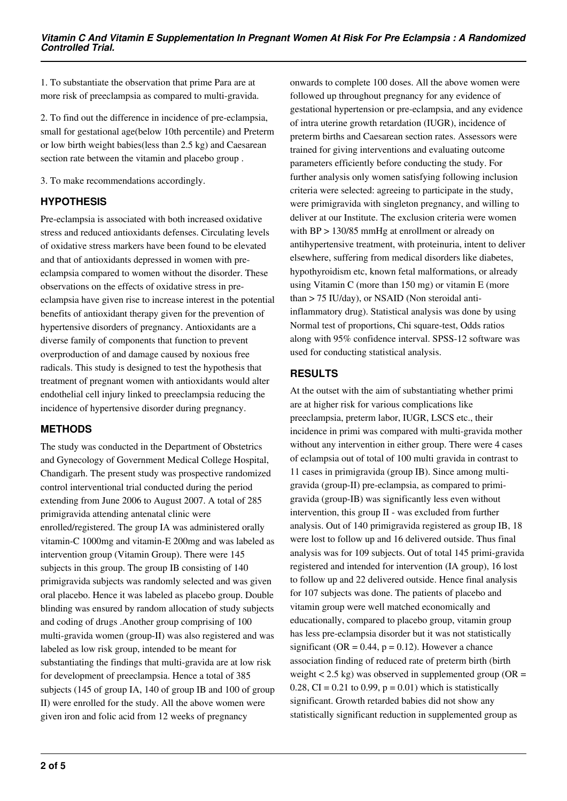1. To substantiate the observation that prime Para are at more risk of preeclampsia as compared to multi-gravida.

2. To find out the difference in incidence of pre-eclampsia, small for gestational age(below 10th percentile) and Preterm or low birth weight babies(less than 2.5 kg) and Caesarean section rate between the vitamin and placebo group .

3. To make recommendations accordingly.

## **HYPOTHESIS**

Pre-eclampsia is associated with both increased oxidative stress and reduced antioxidants defenses. Circulating levels of oxidative stress markers have been found to be elevated and that of antioxidants depressed in women with preeclampsia compared to women without the disorder. These observations on the effects of oxidative stress in preeclampsia have given rise to increase interest in the potential benefits of antioxidant therapy given for the prevention of hypertensive disorders of pregnancy. Antioxidants are a diverse family of components that function to prevent overproduction of and damage caused by noxious free radicals. This study is designed to test the hypothesis that treatment of pregnant women with antioxidants would alter endothelial cell injury linked to preeclampsia reducing the incidence of hypertensive disorder during pregnancy.

## **METHODS**

The study was conducted in the Department of Obstetrics and Gynecology of Government Medical College Hospital, Chandigarh. The present study was prospective randomized control interventional trial conducted during the period extending from June 2006 to August 2007. A total of 285 primigravida attending antenatal clinic were enrolled/registered. The group IA was administered orally vitamin-C 1000mg and vitamin-E 200mg and was labeled as intervention group (Vitamin Group). There were 145 subjects in this group. The group IB consisting of 140 primigravida subjects was randomly selected and was given oral placebo. Hence it was labeled as placebo group. Double blinding was ensured by random allocation of study subjects and coding of drugs .Another group comprising of 100 multi-gravida women (group-II) was also registered and was labeled as low risk group, intended to be meant for substantiating the findings that multi-gravida are at low risk for development of preeclampsia. Hence a total of 385 subjects (145 of group IA, 140 of group IB and 100 of group II) were enrolled for the study. All the above women were given iron and folic acid from 12 weeks of pregnancy

onwards to complete 100 doses. All the above women were followed up throughout pregnancy for any evidence of gestational hypertension or pre-eclampsia, and any evidence of intra uterine growth retardation (IUGR), incidence of preterm births and Caesarean section rates. Assessors were trained for giving interventions and evaluating outcome parameters efficiently before conducting the study. For further analysis only women satisfying following inclusion criteria were selected: agreeing to participate in the study, were primigravida with singleton pregnancy, and willing to deliver at our Institute. The exclusion criteria were women with BP > 130/85 mmHg at enrollment or already on antihypertensive treatment, with proteinuria, intent to deliver elsewhere, suffering from medical disorders like diabetes, hypothyroidism etc, known fetal malformations, or already using Vitamin C (more than 150 mg) or vitamin E (more than > 75 IU/day), or NSAID (Non steroidal antiinflammatory drug). Statistical analysis was done by using Normal test of proportions, Chi square-test, Odds ratios along with 95% confidence interval. SPSS-12 software was used for conducting statistical analysis.

# **RESULTS**

At the outset with the aim of substantiating whether primi are at higher risk for various complications like preeclampsia, preterm labor, IUGR, LSCS etc., their incidence in primi was compared with multi-gravida mother without any intervention in either group. There were 4 cases of eclampsia out of total of 100 multi gravida in contrast to 11 cases in primigravida (group IB). Since among multigravida (group-II) pre-eclampsia, as compared to primigravida (group-IB) was significantly less even without intervention, this group II - was excluded from further analysis. Out of 140 primigravida registered as group IB, 18 were lost to follow up and 16 delivered outside. Thus final analysis was for 109 subjects. Out of total 145 primi-gravida registered and intended for intervention (IA group), 16 lost to follow up and 22 delivered outside. Hence final analysis for 107 subjects was done. The patients of placebo and vitamin group were well matched economically and educationally, compared to placebo group, vitamin group has less pre-eclampsia disorder but it was not statistically significant ( $OR = 0.44$ ,  $p = 0.12$ ). However a chance association finding of reduced rate of preterm birth (birth weight  $< 2.5$  kg) was observed in supplemented group (OR = 0.28, CI = 0.21 to 0.99,  $p = 0.01$ ) which is statistically significant. Growth retarded babies did not show any statistically significant reduction in supplemented group as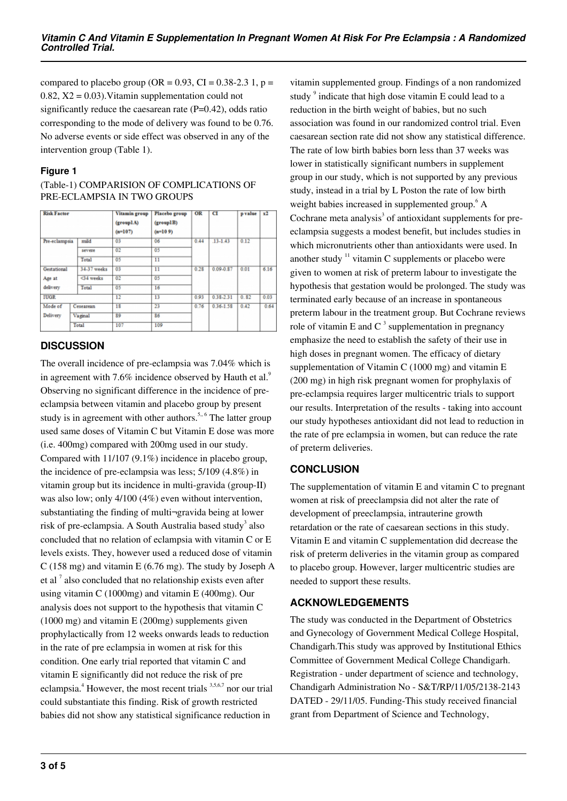compared to placebo group (OR =  $0.93$ , CI =  $0.38-2.3$  1, p =  $0.82$ ,  $X2 = 0.03$ ). Vitamin supplementation could not significantly reduce the caesarean rate  $(P=0.42)$ , odds ratio corresponding to the mode of delivery was found to be 0.76. No adverse events or side effect was observed in any of the intervention group (Table 1).

## **Figure 1**

| <b>Risk Factor</b>   |             | Vitamin group<br>(grouplA)<br>$(n=107)$ | Placebo group<br>(group1B)<br>$(n=109)$ | OR   | CI            | p value | x2   |
|----------------------|-------------|-----------------------------------------|-----------------------------------------|------|---------------|---------|------|
| Pre-eclampsia        | mild        | 03                                      | 06                                      | 0.44 | $.13 - 1.43$  | 0.12    |      |
|                      | severe      | 02                                      | 05                                      |      |               |         |      |
|                      | Total       | 05                                      | 11                                      |      |               |         |      |
| Gestational          | 34-37 weeks | 0 <sup>3</sup>                          | $\overline{11}$                         | 0.28 | $0.09 - 0.87$ | 0.01    | 6.16 |
| Age at               | <34 weeks   | 02                                      | 05                                      |      |               |         |      |
| delivery             | Total       | 05                                      | 16                                      |      |               |         |      |
| <b>IUGR</b>          |             | 12                                      | 13                                      | 0.93 | 0.38-2.31     | 0.82    | 0.03 |
| Mode of<br>Cesearean |             | 18                                      | 23                                      | 0.76 | $0.36 - 1.58$ | 0.42    | 0.64 |
| Delivery             | Vaginal     | 89                                      | 86                                      |      |               |         |      |
|                      | Total       | 107                                     | 109                                     |      |               |         |      |

## (Table-1) COMPARISION OF COMPLICATIONS OF PRE-ECLAMPSIA IN TWO GROUPS

## **DISCUSSION**

The overall incidence of pre-eclampsia was 7.04% which is in agreement with 7.6% incidence observed by Hauth et al. $9$ Observing no significant difference in the incidence of preeclampsia between vitamin and placebo group by present study is in agreement with other authors.<sup>5,, 6</sup> The latter group used same doses of Vitamin C but Vitamin E dose was more (i.e. 400mg) compared with 200mg used in our study. Compared with 11/107 (9.1%) incidence in placebo group, the incidence of pre-eclampsia was less; 5/109 (4.8%) in vitamin group but its incidence in multi-gravida (group-II) was also low; only 4/100 (4%) even without intervention, substantiating the finding of multi¬gravida being at lower risk of pre-eclampsia. A South Australia based study<sup>3</sup> also concluded that no relation of eclampsia with vitamin C or E levels exists. They, however used a reduced dose of vitamin C (158 mg) and vitamin E (6.76 mg). The study by Joseph A et al  $<sup>7</sup>$  also concluded that no relationship exists even after</sup> using vitamin C (1000mg) and vitamin E (400mg). Our analysis does not support to the hypothesis that vitamin C (1000 mg) and vitamin E (200mg) supplements given prophylactically from 12 weeks onwards leads to reduction in the rate of pre eclampsia in women at risk for this condition. One early trial reported that vitamin C and vitamin E significantly did not reduce the risk of pre eclampsia.<sup>4</sup> However, the most recent trials <sup>3,5,6,7</sup> nor our trial could substantiate this finding. Risk of growth restricted babies did not show any statistical significance reduction in

vitamin supplemented group. Findings of a non randomized study<sup>9</sup> indicate that high dose vitamin E could lead to a reduction in the birth weight of babies, but no such association was found in our randomized control trial. Even caesarean section rate did not show any statistical difference. The rate of low birth babies born less than 37 weeks was lower in statistically significant numbers in supplement group in our study, which is not supported by any previous study, instead in a trial by L Poston the rate of low birth weight babies increased in supplemented group.<sup>6</sup> A Cochrane meta analysis $3$  of antioxidant supplements for preeclampsia suggests a modest benefit, but includes studies in which micronutrients other than antioxidants were used. In another study  $11$  vitamin C supplements or placebo were given to women at risk of preterm labour to investigate the hypothesis that gestation would be prolonged. The study was terminated early because of an increase in spontaneous preterm labour in the treatment group. But Cochrane reviews role of vitamin E and C<sup>3</sup> supplementation in pregnancy emphasize the need to establish the safety of their use in high doses in pregnant women. The efficacy of dietary supplementation of Vitamin C (1000 mg) and vitamin E (200 mg) in high risk pregnant women for prophylaxis of pre-eclampsia requires larger multicentric trials to support our results. Interpretation of the results - taking into account our study hypotheses antioxidant did not lead to reduction in the rate of pre eclampsia in women, but can reduce the rate of preterm deliveries.

# **CONCLUSION**

The supplementation of vitamin E and vitamin C to pregnant women at risk of preeclampsia did not alter the rate of development of preeclampsia, intrauterine growth retardation or the rate of caesarean sections in this study. Vitamin E and vitamin C supplementation did decrease the risk of preterm deliveries in the vitamin group as compared to placebo group. However, larger multicentric studies are needed to support these results.

## **ACKNOWLEDGEMENTS**

The study was conducted in the Department of Obstetrics and Gynecology of Government Medical College Hospital, Chandigarh.This study was approved by Institutional Ethics Committee of Government Medical College Chandigarh. Registration - under department of science and technology, Chandigarh Administration No - S&T/RP/11/05/2138-2143 DATED - 29/11/05. Funding-This study received financial grant from Department of Science and Technology,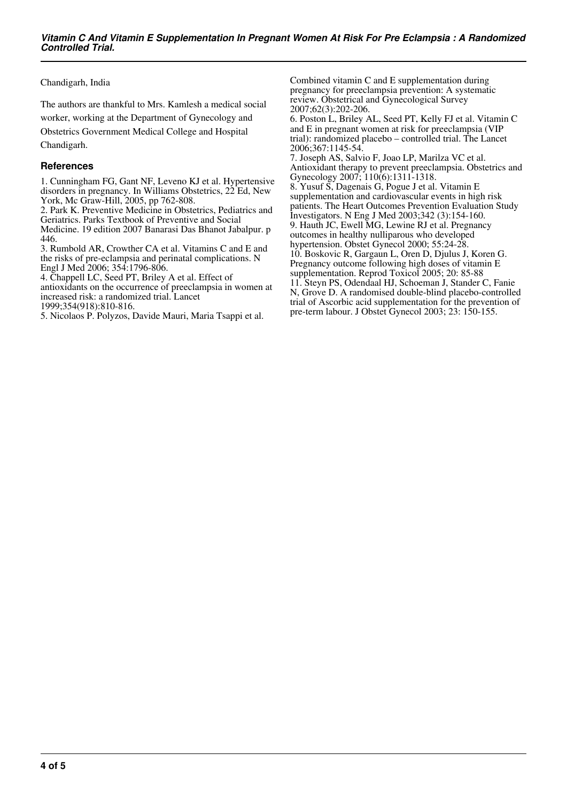Chandigarh, India

The authors are thankful to Mrs. Kamlesh a medical social

worker, working at the Department of Gynecology and

Obstetrics Government Medical College and Hospital

Chandigarh.

#### **References**

1. Cunningham FG, Gant NF, Leveno KJ et al. Hypertensive disorders in pregnancy. In Williams Obstetrics, 22 Ed, New York, Mc Graw-Hill, 2005, pp 762-808.

2. Park K. Preventive Medicine in Obstetrics, Pediatrics and Geriatrics. Parks Textbook of Preventive and Social

Medicine. 19 edition 2007 Banarasi Das Bhanot Jabalpur. p 446.

3. Rumbold AR, Crowther CA et al. Vitamins C and E and the risks of pre-eclampsia and perinatal complications. N Engl J Med 2006; 354:1796-806.

4. Chappell LC, Seed PT, Briley A et al. Effect of antioxidants on the occurrence of preeclampsia in women at increased risk: a randomized trial. Lancet

1999;354(918):810-816.

5. Nicolaos P. Polyzos, Davide Mauri, Maria Tsappi et al.

Combined vitamin C and E supplementation during pregnancy for preeclampsia prevention: A systematic review. Obstetrical and Gynecological Survey 2007;62(3):202-206.

6. Poston L, Briley AL, Seed PT, Kelly FJ et al. Vitamin C and E in pregnant women at risk for preeclampsia (VIP trial): randomized placebo – controlled trial. The Lancet 2006;367:1145-54.

7. Joseph AS, Salvio F, Joao LP, Marilza VC et al. Antioxidant therapy to prevent preeclampsia. Obstetrics and Gynecology 2007; 110(6):1311-1318. 8. Yusuf S, Dagenais G, Pogue J et al. Vitamin E

supplementation and cardiovascular events in high risk patients. The Heart Outcomes Prevention Evaluation Study Investigators. N Eng J Med 2003;342 (3):154-160.

9. Hauth JC, Ewell MG, Lewine RJ et al. Pregnancy outcomes in healthy nulliparous who developed

hypertension. Obstet Gynecol 2000; 55:24-28.

10. Boskovic R, Gargaun L, Oren D, Djulus J, Koren G. Pregnancy outcome following high doses of vitamin E supplementation. Reprod Toxicol 2005; 20: 85-88 11. Steyn PS, Odendaal HJ, Schoeman J, Stander C, Fanie N, Grove D. A randomised double-blind placebo-controlled trial of Ascorbic acid supplementation for the prevention of pre-term labour. J Obstet Gynecol 2003; 23: 150-155.